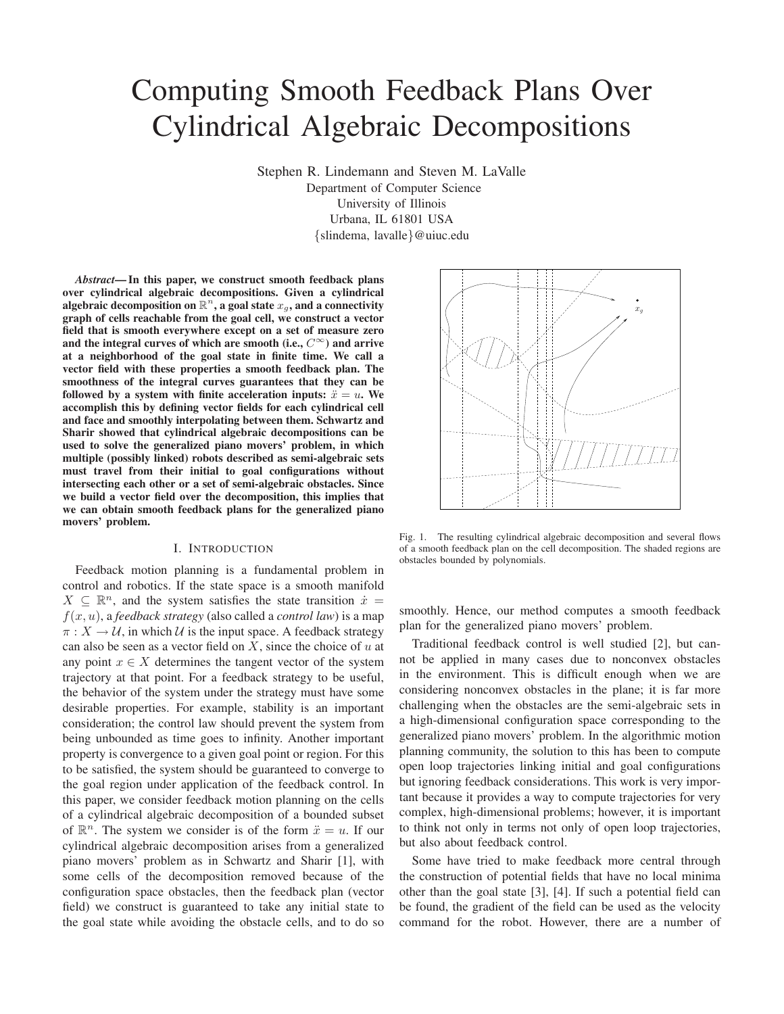# Computing Smooth Feedback Plans Over Cylindrical Algebraic Decompositions

Stephen R. Lindemann and Steven M. LaValle Department of Computer Science University of Illinois Urbana, IL 61801 USA {slindema, lavalle}@uiuc.edu

*Abstract***— In this paper, we construct smooth feedback plans over cylindrical algebraic decompositions. Given a cylindrical** algebraic decomposition on  $\mathbb{R}^n$ , a goal state  $x_g$ , and a connectivity **graph of cells reachable from the goal cell, we construct a vector field that is smooth everywhere except on a set of measure zero and the integral curves of which are smooth (i.e.,** C <sup>∞</sup>**) and arrive at a neighborhood of the goal state in finite time. We call a vector field with these properties a smooth feedback plan. The smoothness of the integral curves guarantees that they can be followed by a system with finite acceleration inputs:**  $\ddot{x} = u$ . We **accomplish this by defining vector fields for each cylindrical cell and face and smoothly interpolating between them. Schwartz and Sharir showed that cylindrical algebraic decompositions can be used to solve the generalized piano movers' problem, in which multiple (possibly linked) robots described as semi-algebraic sets must travel from their initial to goal configurations without intersecting each other or a set of semi-algebraic obstacles. Since we build a vector field over the decomposition, this implies that we can obtain smooth feedback plans for the generalized piano movers' problem.**

## I. INTRODUCTION

Feedback motion planning is a fundamental problem in control and robotics. If the state space is a smooth manifold  $X \subseteq \mathbb{R}^n$ , and the system satisfies the state transition  $\dot{x} =$ f(x, u), a *feedback strategy* (also called a *control law*) is a map  $\pi: X \to U$ , in which U is the input space. A feedback strategy can also be seen as a vector field on  $X$ , since the choice of  $u$  at any point  $x \in X$  determines the tangent vector of the system trajectory at that point. For a feedback strategy to be useful, the behavior of the system under the strategy must have some desirable properties. For example, stability is an important consideration; the control law should prevent the system from being unbounded as time goes to infinity. Another important property is convergence to a given goal point or region. For this to be satisfied, the system should be guaranteed to converge to the goal region under application of the feedback control. In this paper, we consider feedback motion planning on the cells of a cylindrical algebraic decomposition of a bounded subset of  $\mathbb{R}^n$ . The system we consider is of the form  $\ddot{x} = u$ . If our cylindrical algebraic decomposition arises from a generalized piano movers' problem as in Schwartz and Sharir [1], with some cells of the decomposition removed because of the configuration space obstacles, then the feedback plan (vector field) we construct is guaranteed to take any initial state to the goal state while avoiding the obstacle cells, and to do so



Fig. 1. The resulting cylindrical algebraic decomposition and several flows of a smooth feedback plan on the cell decomposition. The shaded regions are obstacles bounded by polynomials.

smoothly. Hence, our method computes a smooth feedback plan for the generalized piano movers' problem.

Traditional feedback control is well studied [2], but cannot be applied in many cases due to nonconvex obstacles in the environment. This is difficult enough when we are considering nonconvex obstacles in the plane; it is far more challenging when the obstacles are the semi-algebraic sets in a high-dimensional configuration space corresponding to the generalized piano movers' problem. In the algorithmic motion planning community, the solution to this has been to compute open loop trajectories linking initial and goal configurations but ignoring feedback considerations. This work is very important because it provides a way to compute trajectories for very complex, high-dimensional problems; however, it is important to think not only in terms not only of open loop trajectories, but also about feedback control.

Some have tried to make feedback more central through the construction of potential fields that have no local minima other than the goal state [3], [4]. If such a potential field can be found, the gradient of the field can be used as the velocity command for the robot. However, there are a number of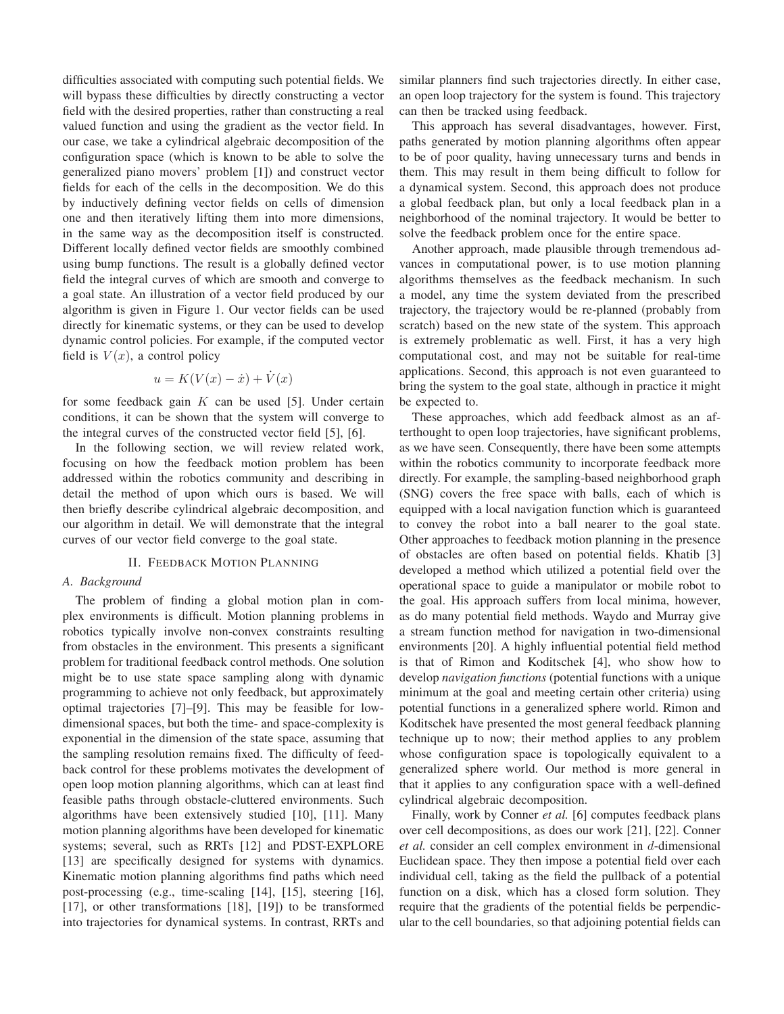difficulties associated with computing such potential fields. We will bypass these difficulties by directly constructing a vector field with the desired properties, rather than constructing a real valued function and using the gradient as the vector field. In our case, we take a cylindrical algebraic decomposition of the configuration space (which is known to be able to solve the generalized piano movers' problem [1]) and construct vector fields for each of the cells in the decomposition. We do this by inductively defining vector fields on cells of dimension one and then iteratively lifting them into more dimensions, in the same way as the decomposition itself is constructed. Different locally defined vector fields are smoothly combined using bump functions. The result is a globally defined vector field the integral curves of which are smooth and converge to a goal state. An illustration of a vector field produced by our algorithm is given in Figure 1. Our vector fields can be used directly for kinematic systems, or they can be used to develop dynamic control policies. For example, if the computed vector field is  $V(x)$ , a control policy

$$
u = K(V(x) - \dot{x}) + \dot{V}(x)
$$

for some feedback gain  $K$  can be used [5]. Under certain conditions, it can be shown that the system will converge to the integral curves of the constructed vector field [5], [6].

In the following section, we will review related work, focusing on how the feedback motion problem has been addressed within the robotics community and describing in detail the method of upon which ours is based. We will then briefly describe cylindrical algebraic decomposition, and our algorithm in detail. We will demonstrate that the integral curves of our vector field converge to the goal state.

## II. FEEDBACK MOTION PLANNING

## *A. Background*

The problem of finding a global motion plan in complex environments is difficult. Motion planning problems in robotics typically involve non-convex constraints resulting from obstacles in the environment. This presents a significant problem for traditional feedback control methods. One solution might be to use state space sampling along with dynamic programming to achieve not only feedback, but approximately optimal trajectories [7]–[9]. This may be feasible for lowdimensional spaces, but both the time- and space-complexity is exponential in the dimension of the state space, assuming that the sampling resolution remains fixed. The difficulty of feedback control for these problems motivates the development of open loop motion planning algorithms, which can at least find feasible paths through obstacle-cluttered environments. Such algorithms have been extensively studied [10], [11]. Many motion planning algorithms have been developed for kinematic systems; several, such as RRTs [12] and PDST-EXPLORE [13] are specifically designed for systems with dynamics. Kinematic motion planning algorithms find paths which need post-processing (e.g., time-scaling [14], [15], steering [16], [17], or other transformations [18], [19]) to be transformed into trajectories for dynamical systems. In contrast, RRTs and

similar planners find such trajectories directly. In either case, an open loop trajectory for the system is found. This trajectory can then be tracked using feedback.

This approach has several disadvantages, however. First, paths generated by motion planning algorithms often appear to be of poor quality, having unnecessary turns and bends in them. This may result in them being difficult to follow for a dynamical system. Second, this approach does not produce a global feedback plan, but only a local feedback plan in a neighborhood of the nominal trajectory. It would be better to solve the feedback problem once for the entire space.

Another approach, made plausible through tremendous advances in computational power, is to use motion planning algorithms themselves as the feedback mechanism. In such a model, any time the system deviated from the prescribed trajectory, the trajectory would be re-planned (probably from scratch) based on the new state of the system. This approach is extremely problematic as well. First, it has a very high computational cost, and may not be suitable for real-time applications. Second, this approach is not even guaranteed to bring the system to the goal state, although in practice it might be expected to.

These approaches, which add feedback almost as an afterthought to open loop trajectories, have significant problems, as we have seen. Consequently, there have been some attempts within the robotics community to incorporate feedback more directly. For example, the sampling-based neighborhood graph (SNG) covers the free space with balls, each of which is equipped with a local navigation function which is guaranteed to convey the robot into a ball nearer to the goal state. Other approaches to feedback motion planning in the presence of obstacles are often based on potential fields. Khatib [3] developed a method which utilized a potential field over the operational space to guide a manipulator or mobile robot to the goal. His approach suffers from local minima, however, as do many potential field methods. Waydo and Murray give a stream function method for navigation in two-dimensional environments [20]. A highly influential potential field method is that of Rimon and Koditschek [4], who show how to develop *navigation functions* (potential functions with a unique minimum at the goal and meeting certain other criteria) using potential functions in a generalized sphere world. Rimon and Koditschek have presented the most general feedback planning technique up to now; their method applies to any problem whose configuration space is topologically equivalent to a generalized sphere world. Our method is more general in that it applies to any configuration space with a well-defined cylindrical algebraic decomposition.

Finally, work by Conner *et al.* [6] computes feedback plans over cell decompositions, as does our work [21], [22]. Conner *et al.* consider an cell complex environment in d-dimensional Euclidean space. They then impose a potential field over each individual cell, taking as the field the pullback of a potential function on a disk, which has a closed form solution. They require that the gradients of the potential fields be perpendicular to the cell boundaries, so that adjoining potential fields can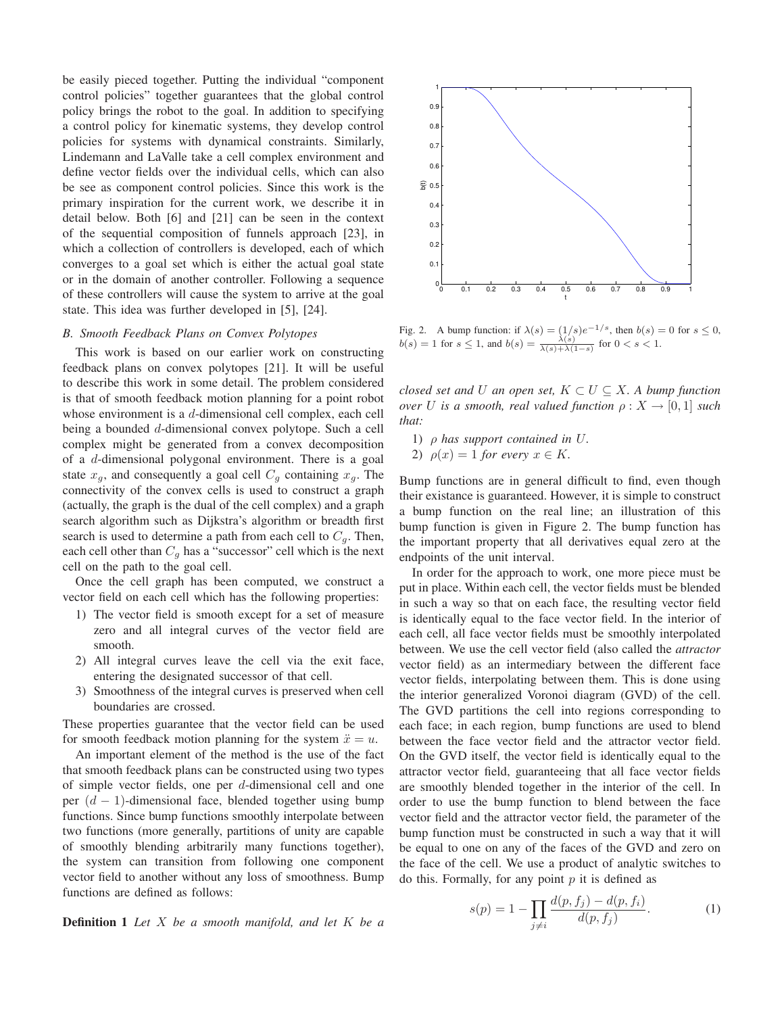be easily pieced together. Putting the individual "component control policies" together guarantees that the global control policy brings the robot to the goal. In addition to specifying a control policy for kinematic systems, they develop control policies for systems with dynamical constraints. Similarly, Lindemann and LaValle take a cell complex environment and define vector fields over the individual cells, which can also be see as component control policies. Since this work is the primary inspiration for the current work, we describe it in detail below. Both [6] and [21] can be seen in the context of the sequential composition of funnels approach [23], in which a collection of controllers is developed, each of which converges to a goal set which is either the actual goal state or in the domain of another controller. Following a sequence of these controllers will cause the system to arrive at the goal state. This idea was further developed in [5], [24].

#### *B. Smooth Feedback Plans on Convex Polytopes*

This work is based on our earlier work on constructing feedback plans on convex polytopes [21]. It will be useful to describe this work in some detail. The problem considered is that of smooth feedback motion planning for a point robot whose environment is a d-dimensional cell complex, each cell being a bounded d-dimensional convex polytope. Such a cell complex might be generated from a convex decomposition of a d-dimensional polygonal environment. There is a goal state  $x_q$ , and consequently a goal cell  $C_q$  containing  $x_q$ . The connectivity of the convex cells is used to construct a graph (actually, the graph is the dual of the cell complex) and a graph search algorithm such as Dijkstra's algorithm or breadth first search is used to determine a path from each cell to  $C_q$ . Then, each cell other than  $C_g$  has a "successor" cell which is the next cell on the path to the goal cell.

Once the cell graph has been computed, we construct a vector field on each cell which has the following properties:

- 1) The vector field is smooth except for a set of measure zero and all integral curves of the vector field are smooth.
- 2) All integral curves leave the cell via the exit face, entering the designated successor of that cell.
- 3) Smoothness of the integral curves is preserved when cell boundaries are crossed.

These properties guarantee that the vector field can be used for smooth feedback motion planning for the system  $\ddot{x} = u$ .

An important element of the method is the use of the fact that smooth feedback plans can be constructed using two types of simple vector fields, one per d-dimensional cell and one per  $(d - 1)$ -dimensional face, blended together using bump functions. Since bump functions smoothly interpolate between two functions (more generally, partitions of unity are capable of smoothly blending arbitrarily many functions together), the system can transition from following one component vector field to another without any loss of smoothness. Bump functions are defined as follows:

**Definition 1** *Let* X *be a smooth manifold, and let* K *be a*



Fig. 2. A bump function: if  $\lambda(s) = (1/s)e^{-1/s}$ , then  $b(s) = 0$  for  $s \le 0$ ,  $b(s) = 1$  for  $s \leq 1$ , and  $b(s) = \frac{\lambda(s)}{\lambda(s) + \lambda(1-s)}$  for  $0 < s < 1$ .

*closed set and* U *an open set,*  $K \subset U \subseteq X$ . A bump function *over* U is a smooth, real valued function  $\rho: X \to [0, 1]$  such *that:*

- 1) ρ *has support contained in* U*.*
- 2)  $\rho(x) = 1$  *for every*  $x \in K$ .

Bump functions are in general difficult to find, even though their existance is guaranteed. However, it is simple to construct a bump function on the real line; an illustration of this bump function is given in Figure 2. The bump function has the important property that all derivatives equal zero at the endpoints of the unit interval.

In order for the approach to work, one more piece must be put in place. Within each cell, the vector fields must be blended in such a way so that on each face, the resulting vector field is identically equal to the face vector field. In the interior of each cell, all face vector fields must be smoothly interpolated between. We use the cell vector field (also called the *attractor* vector field) as an intermediary between the different face vector fields, interpolating between them. This is done using the interior generalized Voronoi diagram (GVD) of the cell. The GVD partitions the cell into regions corresponding to each face; in each region, bump functions are used to blend between the face vector field and the attractor vector field. On the GVD itself, the vector field is identically equal to the attractor vector field, guaranteeing that all face vector fields are smoothly blended together in the interior of the cell. In order to use the bump function to blend between the face vector field and the attractor vector field, the parameter of the bump function must be constructed in such a way that it will be equal to one on any of the faces of the GVD and zero on the face of the cell. We use a product of analytic switches to do this. Formally, for any point  $p$  it is defined as

$$
s(p) = 1 - \prod_{j \neq i} \frac{d(p, f_j) - d(p, f_i)}{d(p, f_j)}.
$$
 (1)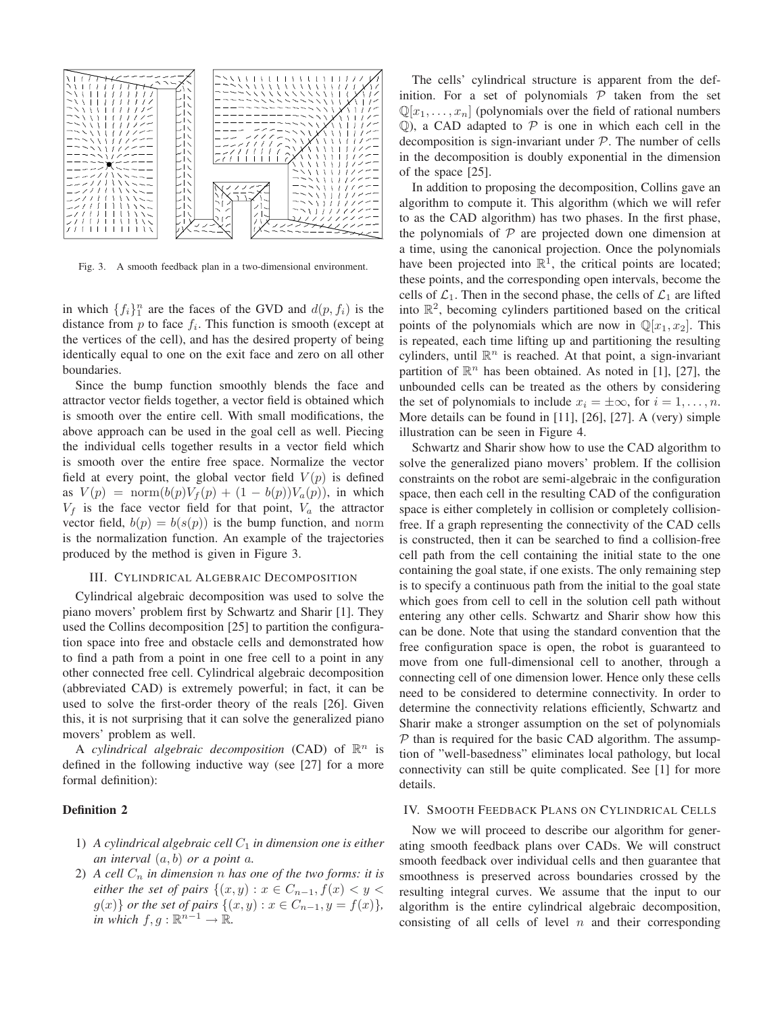

Fig. 3. A smooth feedback plan in a two-dimensional environment.

in which  $\{f_i\}_{1}^{n}$  are the faces of the GVD and  $d(p, f_i)$  is the distance from  $p$  to face  $f_i$ . This function is smooth (except at the vertices of the cell), and has the desired property of being identically equal to one on the exit face and zero on all other boundaries.

Since the bump function smoothly blends the face and attractor vector fields together, a vector field is obtained which is smooth over the entire cell. With small modifications, the above approach can be used in the goal cell as well. Piecing the individual cells together results in a vector field which is smooth over the entire free space. Normalize the vector field at every point, the global vector field  $V(p)$  is defined as  $V(p) = \text{norm}(b(p)V_f(p) + (1 - b(p))V_a(p))$ , in which  $V_f$  is the face vector field for that point,  $V_a$  the attractor vector field,  $b(p) = b(s(p))$  is the bump function, and norm is the normalization function. An example of the trajectories produced by the method is given in Figure 3.

### III. CYLINDRICAL ALGEBRAIC DECOMPOSITION

Cylindrical algebraic decomposition was used to solve the piano movers' problem first by Schwartz and Sharir [1]. They used the Collins decomposition [25] to partition the configuration space into free and obstacle cells and demonstrated how to find a path from a point in one free cell to a point in any other connected free cell. Cylindrical algebraic decomposition (abbreviated CAD) is extremely powerful; in fact, it can be used to solve the first-order theory of the reals [26]. Given this, it is not surprising that it can solve the generalized piano movers' problem as well.

A *cylindrical algebraic decomposition* (CAD) of  $\mathbb{R}^n$  is defined in the following inductive way (see [27] for a more formal definition):

## **Definition 2**

- 1) A cylindrical algebraic cell  $C_1$  *in dimension one is either an interval* (a, b) *or a point* a*.*
- 2) A cell  $C_n$  *in dimension n has one of the two forms: it is either the set of pairs*  $\{(x, y) : x \in C_{n-1}, f(x) < y < \emptyset\}$  $g(x)$ *} or the set of pairs*  $\{(x, y) : x \in C_{n-1}, y = f(x)\}$ *, in which*  $f, g : \mathbb{R}^{n-1} \to \mathbb{R}$ *.*

The cells' cylindrical structure is apparent from the definition. For a set of polynomials  $P$  taken from the set  $\mathbb{Q}[x_1, \ldots, x_n]$  (polynomials over the field of rational numbers  $Q$ ), a CAD adapted to  $P$  is one in which each cell in the decomposition is sign-invariant under  $P$ . The number of cells in the decomposition is doubly exponential in the dimension of the space [25].

In addition to proposing the decomposition, Collins gave an algorithm to compute it. This algorithm (which we will refer to as the CAD algorithm) has two phases. In the first phase, the polynomials of  $P$  are projected down one dimension at a time, using the canonical projection. Once the polynomials have been projected into  $\mathbb{R}^1$ , the critical points are located; these points, and the corresponding open intervals, become the cells of  $\mathcal{L}_1$ . Then in the second phase, the cells of  $\mathcal{L}_1$  are lifted into  $\mathbb{R}^2$ , becoming cylinders partitioned based on the critical points of the polynomials which are now in  $\mathbb{Q}[x_1, x_2]$ . This is repeated, each time lifting up and partitioning the resulting cylinders, until  $\mathbb{R}^n$  is reached. At that point, a sign-invariant partition of  $\mathbb{R}^n$  has been obtained. As noted in [1], [27], the unbounded cells can be treated as the others by considering the set of polynomials to include  $x_i = \pm \infty$ , for  $i = 1, \ldots, n$ . More details can be found in [11], [26], [27]. A (very) simple illustration can be seen in Figure 4.

Schwartz and Sharir show how to use the CAD algorithm to solve the generalized piano movers' problem. If the collision constraints on the robot are semi-algebraic in the configuration space, then each cell in the resulting CAD of the configuration space is either completely in collision or completely collisionfree. If a graph representing the connectivity of the CAD cells is constructed, then it can be searched to find a collision-free cell path from the cell containing the initial state to the one containing the goal state, if one exists. The only remaining step is to specify a continuous path from the initial to the goal state which goes from cell to cell in the solution cell path without entering any other cells. Schwartz and Sharir show how this can be done. Note that using the standard convention that the free configuration space is open, the robot is guaranteed to move from one full-dimensional cell to another, through a connecting cell of one dimension lower. Hence only these cells need to be considered to determine connectivity. In order to determine the connectivity relations efficiently, Schwartz and Sharir make a stronger assumption on the set of polynomials  $P$  than is required for the basic CAD algorithm. The assumption of "well-basedness" eliminates local pathology, but local connectivity can still be quite complicated. See [1] for more details.

#### IV. SMOOTH FEEDBACK PLANS ON CYLINDRICAL CELLS

Now we will proceed to describe our algorithm for generating smooth feedback plans over CADs. We will construct smooth feedback over individual cells and then guarantee that smoothness is preserved across boundaries crossed by the resulting integral curves. We assume that the input to our algorithm is the entire cylindrical algebraic decomposition, consisting of all cells of level  $n$  and their corresponding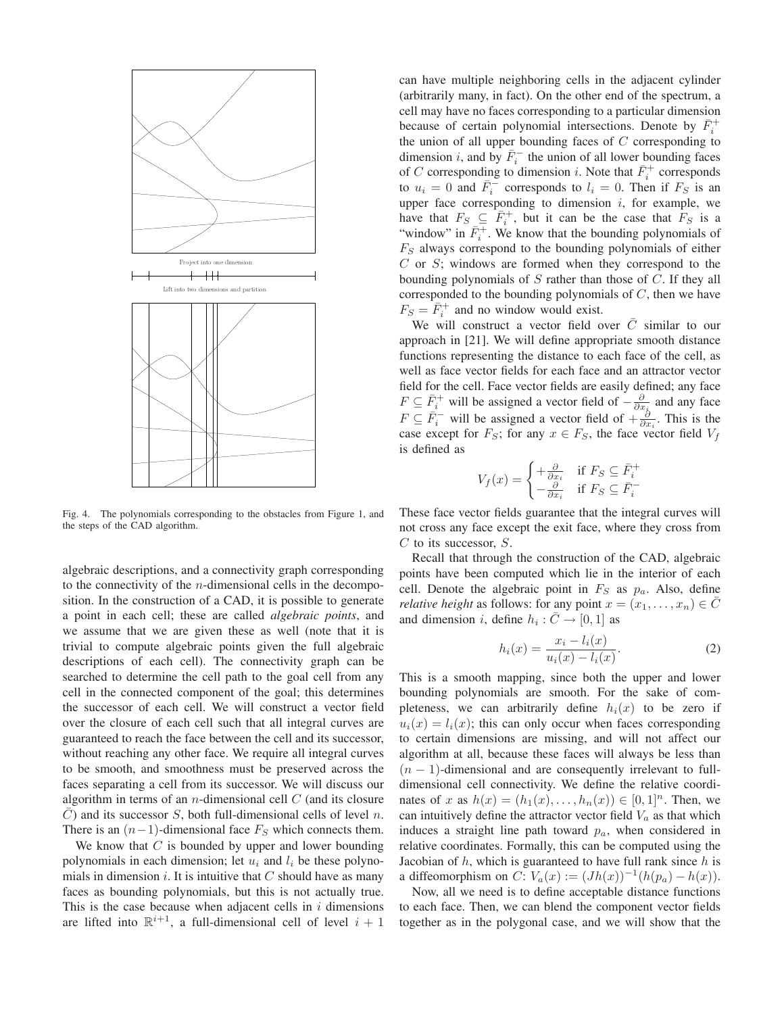

Fig. 4. The polynomials corresponding to the obstacles from Figure 1, and the steps of the CAD algorithm.

algebraic descriptions, and a connectivity graph corresponding to the connectivity of the  $n$ -dimensional cells in the decomposition. In the construction of a CAD, it is possible to generate a point in each cell; these are called *algebraic points*, and we assume that we are given these as well (note that it is trivial to compute algebraic points given the full algebraic descriptions of each cell). The connectivity graph can be searched to determine the cell path to the goal cell from any cell in the connected component of the goal; this determines the successor of each cell. We will construct a vector field over the closure of each cell such that all integral curves are guaranteed to reach the face between the cell and its successor, without reaching any other face. We require all integral curves to be smooth, and smoothness must be preserved across the faces separating a cell from its successor. We will discuss our algorithm in terms of an *n*-dimensional cell  $C$  (and its closure  $\overline{C}$ ) and its successor S, both full-dimensional cells of level n. There is an  $(n-1)$ -dimensional face  $F<sub>S</sub>$  which connects them.

We know that  $C$  is bounded by upper and lower bounding polynomials in each dimension; let  $u_i$  and  $l_i$  be these polynomials in dimension  $i$ . It is intuitive that  $C$  should have as many faces as bounding polynomials, but this is not actually true. This is the case because when adjacent cells in  $i$  dimensions are lifted into  $\mathbb{R}^{i+1}$ , a full-dimensional cell of level  $i + 1$ 

can have multiple neighboring cells in the adjacent cylinder (arbitrarily many, in fact). On the other end of the spectrum, a cell may have no faces corresponding to a particular dimension because of certain polynomial intersections. Denote by  $\bar{F}_i^+$ the union of all upper bounding faces of  $C$  corresponding to dimension *i*, and by  $\overline{F}_i^-$  the union of all lower bounding faces of C corresponding to dimension *i*. Note that  $\overline{F}_i^+$  corresponds to  $u_i = 0$  and  $\overline{F}_i^-$  corresponds to  $l_i = 0$ . Then if  $F_S$  is an upper face corresponding to dimension  $i$ , for example, we have that  $F_S \subseteq \overline{F}_i^+$ , but it can be the case that  $F_S$  is a "window" in  $\bar{F}_i^+$ . We know that the bounding polynomials of  $F<sub>S</sub>$  always correspond to the bounding polynomials of either  $C$  or  $S$ ; windows are formed when they correspond to the bounding polynomials of  $S$  rather than those of  $C$ . If they all corresponded to the bounding polynomials of  $C$ , then we have  $F_S = \overline{F}_i^+$  and no window would exist.

We will construct a vector field over  $\overline{C}$  similar to our approach in [21]. We will define appropriate smooth distance functions representing the distance to each face of the cell, as well as face vector fields for each face and an attractor vector field for the cell. Face vector fields are easily defined; any face  $F \subseteq \overline{F}_i^+$  will be assigned a vector field of  $-\frac{\partial}{\partial x_i}$  and any face  $F \subseteq \overline{F}_i^-$  will be assigned a vector field of  $+\frac{\delta}{\partial x_i}$ . This is the case except for  $F_S$ ; for any  $x \in F_S$ , the face vector field  $V_f$ is defined as

$$
V_f(x) = \begin{cases} +\frac{\partial}{\partial x_i} & \text{if } F_S \subseteq \bar{F}_i^+ \\ -\frac{\partial}{\partial x_i} & \text{if } F_S \subseteq \bar{F}_i^- \end{cases}
$$

These face vector fields guarantee that the integral curves will not cross any face except the exit face, where they cross from  $C$  to its successor,  $S$ .

Recall that through the construction of the CAD, algebraic points have been computed which lie in the interior of each cell. Denote the algebraic point in  $F<sub>S</sub>$  as  $p<sub>a</sub>$ . Also, define *relative height* as follows: for any point  $x = (x_1, \ldots, x_n) \in \overline{C}$ and dimension *i*, define  $h_i : \overline{C} \to [0,1]$  as

$$
h_i(x) = \frac{x_i - l_i(x)}{u_i(x) - l_i(x)}.
$$
 (2)

This is a smooth mapping, since both the upper and lower bounding polynomials are smooth. For the sake of completeness, we can arbitrarily define  $h_i(x)$  to be zero if  $u_i(x) = l_i(x)$ ; this can only occur when faces corresponding to certain dimensions are missing, and will not affect our algorithm at all, because these faces will always be less than  $(n - 1)$ -dimensional and are consequently irrelevant to fulldimensional cell connectivity. We define the relative coordinates of x as  $h(x) = (h_1(x), \ldots, h_n(x)) \in [0,1]^n$ . Then, we can intuitively define the attractor vector field  $V_a$  as that which induces a straight line path toward  $p_a$ , when considered in relative coordinates. Formally, this can be computed using the Jacobian of  $h$ , which is guaranteed to have full rank since  $h$  is a diffeomorphism on  $C: V_a(x) := (Jh(x))^{-1}(h(p_a) - h(x)).$ 

Now, all we need is to define acceptable distance functions to each face. Then, we can blend the component vector fields together as in the polygonal case, and we will show that the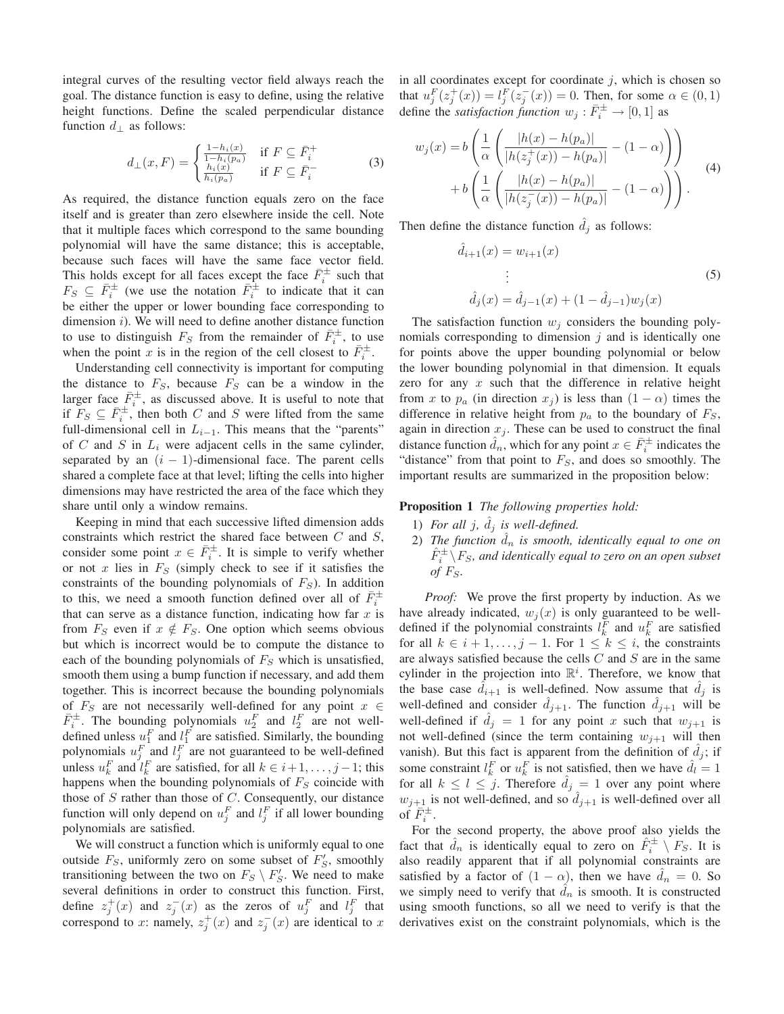integral curves of the resulting vector field always reach the goal. The distance function is easy to define, using the relative height functions. Define the scaled perpendicular distance function  $d_{\perp}$  as follows:

$$
d_{\perp}(x,F) = \begin{cases} \frac{1-h_i(x)}{1-h_i(p_a)} & \text{if } F \subseteq \bar{F}_i^+\\ \frac{h_i(x)}{h_i(p_a)} & \text{if } F \subseteq \bar{F}_i^- \end{cases}
$$
 (3)

As required, the distance function equals zero on the face itself and is greater than zero elsewhere inside the cell. Note that it multiple faces which correspond to the same bounding polynomial will have the same distance; this is acceptable, because such faces will have the same face vector field. This holds except for all faces except the face  $\bar{F}_i^{\pm}$  such that  $F_S \subseteq \overline{F}_i^{\pm}$  (we use the notation  $\overline{F}_i^{\pm}$  to indicate that it can be either the upper or lower bounding face corresponding to dimension  $i$ ). We will need to define another distance function to use to distinguish  $F_S$  from the remainder of  $\bar{F}_i^{\pm}$ , to use when the point x is in the region of the cell closest to  $\bar{F}_i^{\pm}$ .

Understanding cell connectivity is important for computing the distance to  $F<sub>S</sub>$ , because  $F<sub>S</sub>$  can be a window in the larger face  $\overline{F}_i^{\pm}$ , as discussed above. It is useful to note that if  $F_S \subseteq \overline{F}_i^{\pm}$ , then both C and S were lifted from the same full-dimensional cell in  $L_{i-1}$ . This means that the "parents" of C and S in  $L_i$  were adjacent cells in the same cylinder, separated by an  $(i - 1)$ -dimensional face. The parent cells shared a complete face at that level; lifting the cells into higher dimensions may have restricted the area of the face which they share until only a window remains.

Keeping in mind that each successive lifted dimension adds constraints which restrict the shared face between  $C$  and  $S$ , consider some point  $x \in \overline{F}_i^{\pm}$ . It is simple to verify whether or not x lies in  $F<sub>S</sub>$  (simply check to see if it satisfies the constraints of the bounding polynomials of  $F<sub>S</sub>$ ). In addition to this, we need a smooth function defined over all of  $\bar{F}_i^{\pm}$ that can serve as a distance function, indicating how far  $x$  is from  $F_S$  even if  $x \notin F_S$ . One option which seems obvious but which is incorrect would be to compute the distance to each of the bounding polynomials of  $F<sub>S</sub>$  which is unsatisfied, smooth them using a bump function if necessary, and add them together. This is incorrect because the bounding polynomials of  $F<sub>S</sub>$  are not necessarily well-defined for any point  $x \in$  $\bar{F}_i^{\pm}$ . The bounding polynomials  $u_2^F$  and  $l_2^F$  are not welldefined unless  $u_1^F$  and  $u_1^F$  are satisfied. Similarly, the bounding polynomials  $u_j^F$  and  $l_j^F$  are not guaranteed to be well-defined unless  $u_k^F$  and  $\hat{l}_k^F$  are satisfied, for all  $k \in i+1, \ldots, j-1$ ; this happens when the bounding polynomials of  $F<sub>S</sub>$  coincide with those of  $S$  rather than those of  $C$ . Consequently, our distance function will only depend on  $u_j^F$  and  $l_j^F$  if all lower bounding polynomials are satisfied.

We will construct a function which is uniformly equal to one outside  $F_S$ , uniformly zero on some subset of  $F'_S$ , smoothly transitioning between the two on  $F_S \setminus F'_S$ . We need to make several definitions in order to construct this function. First, define  $z_j^+(x)$  and  $z_j^-(x)$  as the zeros of  $u_j^F$  and  $l_j^F$  that correspond to x: namely,  $z_j^+(x)$  and  $z_j^-(x)$  are identical to x in all coordinates except for coordinate  $i$ , which is chosen so that  $u_j^F(z_j^+(x)) = l_j^F(z_j^-(x)) = 0$ . Then, for some  $\alpha \in (0, 1)$ define the *satisfaction function*  $w_j : \overline{F}_i^{\pm} \to [0,1]$  as

$$
w_j(x) = b\left(\frac{1}{\alpha} \left(\frac{|h(x) - h(p_a)|}{|h(z_j^+(x)) - h(p_a)|} - (1 - \alpha)\right)\right) + b\left(\frac{1}{\alpha} \left(\frac{|h(x) - h(p_a)|}{|h(z_j^-(x)) - h(p_a)|} - (1 - \alpha)\right)\right).
$$
 (4)

Then define the distance function  $\hat{d}_i$  as follows:

$$
\hat{d}_{i+1}(x) = w_{i+1}(x)
$$
\n
$$
\vdots
$$
\n
$$
\hat{d}_j(x) = \hat{d}_{j-1}(x) + (1 - \hat{d}_{j-1})w_j(x)
$$
\n(5)

The satisfaction function  $w_j$  considers the bounding polynomials corresponding to dimension  $j$  and is identically one for points above the upper bounding polynomial or below the lower bounding polynomial in that dimension. It equals zero for any  $x$  such that the difference in relative height from x to  $p_a$  (in direction  $x_j$ ) is less than  $(1 - \alpha)$  times the difference in relative height from  $p_a$  to the boundary of  $F_S$ , again in direction  $x_j$ . These can be used to construct the final distance function  $\hat{d}_n$ , which for any point  $x \in \bar{F}_i^{\pm}$  indicates the "distance" from that point to  $F<sub>S</sub>$ , and does so smoothly. The important results are summarized in the proposition below:

#### **Proposition 1** *The following properties hold:*

- 1) For all  $j$ ,  $\hat{d}_j$  is well-defined.
- 2) The function  $\hat{d}_n$  is smooth, identically equal to one on  $\hat{F}_{i}^{\pm} \backslash F_S$ , and identically equal to zero on an open subset *of*  $F_s$ .

*Proof:* We prove the first property by induction. As we have already indicated,  $w_i(x)$  is only guaranteed to be welldefined if the polynomial constraints  $l_k^F$  and  $u_k^F$  are satisfied for all  $k \in i+1, \ldots, j-1$ . For  $1 \leq k \leq i$ , the constraints are always satisfied because the cells  $C$  and  $S$  are in the same cylinder in the projection into  $\mathbb{R}^i$ . Therefore, we know that the base case  $d_{i+1}$  is well-defined. Now assume that  $d_i$  is well-defined and consider  $\hat{d}_{j+1}$ . The function  $\hat{d}_{j+1}$  will be well-defined if  $\hat{d}_j = 1$  for any point x such that  $w_{j+1}$  is not well-defined (since the term containing  $w_{j+1}$  will then vanish). But this fact is apparent from the definition of  $\hat{d}_i$ ; if some constraint  $l_k^F$  or  $u_k^F$  is not satisfied, then we have  $\hat{d}_l = 1$ for all  $k \leq l \leq j$ . Therefore  $\hat{d}_j = 1$  over any point where  $w_{j+1}$  is not well-defined, and so  $d_{j+1}$  is well-defined over all of  $\bar{F}_i^{\pm}$ .

For the second property, the above proof also yields the fact that  $\hat{d}_n$  is identically equal to zero on  $\hat{F}_i^{\pm} \setminus F_S$ . It is also readily apparent that if all polynomial constraints are satisfied by a factor of  $(1 - \alpha)$ , then we have  $d_n = 0$ . So we simply need to verify that  $d_n$  is smooth. It is constructed using smooth functions, so all we need to verify is that the derivatives exist on the constraint polynomials, which is the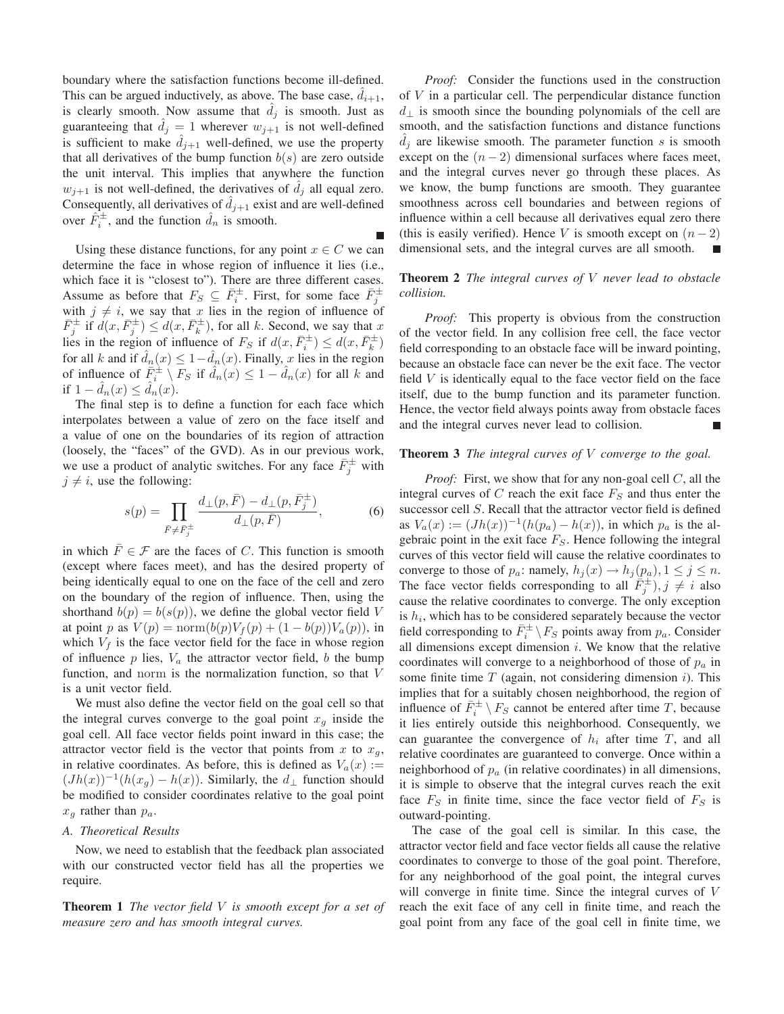boundary where the satisfaction functions become ill-defined. This can be argued inductively, as above. The base case,  $\ddot{d}_{i+1}$ , is clearly smooth. Now assume that  $d_i$  is smooth. Just as guaranteeing that  $\hat{d}_j = 1$  wherever  $w_{j+1}$  is not well-defined is sufficient to make  $d_{j+1}$  well-defined, we use the property that all derivatives of the bump function  $b(s)$  are zero outside the unit interval. This implies that anywhere the function  $w_{j+1}$  is not well-defined, the derivatives of  $d_j$  all equal zero. Consequently, all derivatives of  $d_{i+1}$  exist and are well-defined over  $\hat{F}_i^{\pm}$ , and the function  $\hat{d}_n$  is smooth.

Г

Using these distance functions, for any point  $x \in C$  we can determine the face in whose region of influence it lies (i.e., which face it is "closest to"). There are three different cases. Assume as before that  $F_S \subseteq \overline{F}_i^{\pm}$ . First, for some face  $\overline{F}_j^{\pm}$ with  $j \neq i$ , we say that x lies in the region of influence of  $\bar{F}_j^{\pm}$  if  $d(x, \bar{F}_j^{\pm}) \leq d(x, \bar{F}_k^{\pm})$ , for all k. Second, we say that x lies in the region of influence of  $F_S$  if  $d(x, \bar{F}_i^{\pm}) \leq d(x, \bar{F}_k^{\pm})$ for all k and if  $\hat{d}_n(x) \leq 1 - \hat{d}_n(x)$ . Finally, x lies in the region of influence of  $\bar{F}_i^{\pm} \setminus F_S$  if  $\hat{d}_n(x) \leq 1 - \hat{d}_n(x)$  for all k and if  $1 - \hat{d}_n(x) \leq \hat{d}_n(x)$ .

The final step is to define a function for each face which interpolates between a value of zero on the face itself and a value of one on the boundaries of its region of attraction (loosely, the "faces" of the GVD). As in our previous work, we use a product of analytic switches. For any face  $\bar{F}_j^{\pm}$  with  $j \neq i$ , use the following:

$$
s(p) = \prod_{\bar{F} \neq \bar{F}_j^{\pm}} \frac{d_{\perp}(p, \bar{F}) - d_{\perp}(p, \bar{F}_j^{\pm})}{d_{\perp}(p, \bar{F})},
$$
(6)

in which  $\overline{F} \in \mathcal{F}$  are the faces of C. This function is smooth (except where faces meet), and has the desired property of being identically equal to one on the face of the cell and zero on the boundary of the region of influence. Then, using the shorthand  $b(p) = b(s(p))$ , we define the global vector field V at point p as  $V(p) = \text{norm}(b(p)V_f(p) + (1 - b(p))V_a(p))$ , in which  $V_f$  is the face vector field for the face in whose region of influence  $p$  lies,  $V_a$  the attractor vector field,  $b$  the bump function, and norm is the normalization function, so that V is a unit vector field.

We must also define the vector field on the goal cell so that the integral curves converge to the goal point  $x<sub>q</sub>$  inside the goal cell. All face vector fields point inward in this case; the attractor vector field is the vector that points from x to  $x_q$ , in relative coordinates. As before, this is defined as  $V_a(x) :=$  $(Jh(x))^{-1}(h(x_g) - h(x))$ . Similarly, the  $d_{\perp}$  function should be modified to consider coordinates relative to the goal point  $x_q$  rather than  $p_a$ .

## *A. Theoretical Results*

Now, we need to establish that the feedback plan associated with our constructed vector field has all the properties we require.

**Theorem 1** *The vector field* V *is smooth except for a set of measure zero and has smooth integral curves.*

*Proof:* Consider the functions used in the construction of V in a particular cell. The perpendicular distance function  $d_{\perp}$  is smooth since the bounding polynomials of the cell are smooth, and the satisfaction functions and distance functions  $d_i$  are likewise smooth. The parameter function s is smooth except on the  $(n-2)$  dimensional surfaces where faces meet, and the integral curves never go through these places. As we know, the bump functions are smooth. They guarantee smoothness across cell boundaries and between regions of influence within a cell because all derivatives equal zero there (this is easily verified). Hence V is smooth except on  $(n-2)$ dimensional sets, and the integral curves are all smooth.

# **Theorem 2** *The integral curves of* V *never lead to obstacle collision.*

*Proof:* This property is obvious from the construction of the vector field. In any collision free cell, the face vector field corresponding to an obstacle face will be inward pointing, because an obstacle face can never be the exit face. The vector field  $V$  is identically equal to the face vector field on the face itself, due to the bump function and its parameter function. Hence, the vector field always points away from obstacle faces and the integral curves never lead to collision.

#### **Theorem 3** *The integral curves of* V *converge to the goal.*

*Proof:* First, we show that for any non-goal cell C, all the integral curves of  $C$  reach the exit face  $F<sub>S</sub>$  and thus enter the successor cell S. Recall that the attractor vector field is defined as  $V_a(x) := (Jh(x))^{-1}(h(p_a) - h(x))$ , in which  $p_a$  is the algebraic point in the exit face  $F<sub>S</sub>$ . Hence following the integral curves of this vector field will cause the relative coordinates to converge to those of  $p_a$ : namely,  $h_i(x) \rightarrow h_i(p_a), 1 \leq j \leq n$ . The face vector fields corresponding to all  $\overline{F}_j^{\pm}$ ,  $j \neq i$  also cause the relative coordinates to converge. The only exception is  $h_i$ , which has to be considered separately because the vector field corresponding to  $\bar{F}_i^{\pm} \backslash F_S$  points away from  $p_a$ . Consider all dimensions except dimension  $i$ . We know that the relative coordinates will converge to a neighborhood of those of  $p_a$  in some finite time  $T$  (again, not considering dimension i). This implies that for a suitably chosen neighborhood, the region of influence of  $\overline{F}_i^{\pm} \setminus F_S$  cannot be entered after time T, because it lies entirely outside this neighborhood. Consequently, we can guarantee the convergence of  $h_i$  after time T, and all relative coordinates are guaranteed to converge. Once within a neighborhood of  $p_a$  (in relative coordinates) in all dimensions, it is simple to observe that the integral curves reach the exit face  $F<sub>S</sub>$  in finite time, since the face vector field of  $F<sub>S</sub>$  is outward-pointing.

The case of the goal cell is similar. In this case, the attractor vector field and face vector fields all cause the relative coordinates to converge to those of the goal point. Therefore, for any neighborhood of the goal point, the integral curves will converge in finite time. Since the integral curves of V reach the exit face of any cell in finite time, and reach the goal point from any face of the goal cell in finite time, we